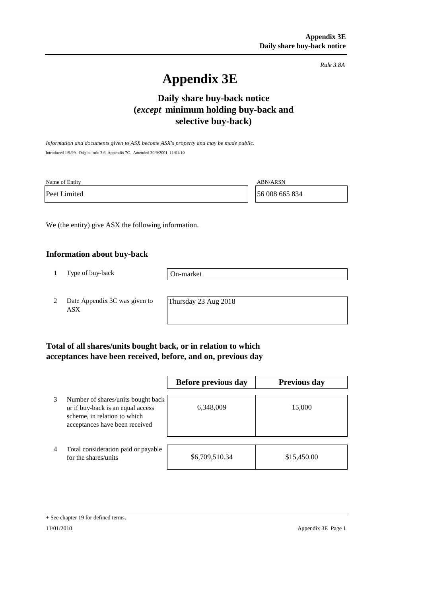*Rule 3.8A*

# **Appendix 3E**

## **Daily share buy-back notice (***except* **minimum holding buy-back and selective buy-back)**

*Information and documents given to ASX become ASX's property and may be made public.* Introduced 1/9/99. Origin: rule 3.6, Appendix 7C. Amended 30/9/2001, 11/01/10

| Name of Entity | <b>ABN/ARSN</b> |
|----------------|-----------------|
| Peet Limited   | 56 008 665 834  |

We (the entity) give ASX the following information.

#### **Information about buy-back**

1 Type of buy-back

On-market

2 Date Appendix 3C was given to ASX

Thursday 23 Aug 2018

#### **Total of all shares/units bought back, or in relation to which acceptances have been received, before, and on, previous day**

|                |                                                                                                                                           | Before previous day | <b>Previous day</b> |
|----------------|-------------------------------------------------------------------------------------------------------------------------------------------|---------------------|---------------------|
| 3              | Number of shares/units bought back<br>or if buy-back is an equal access<br>scheme, in relation to which<br>acceptances have been received | 6,348,009           | 15,000              |
| $\overline{4}$ | Total consideration paid or payable<br>for the shares/units                                                                               | \$6,709,510.34      | \$15,450.00         |

<sup>+</sup> See chapter 19 for defined terms.